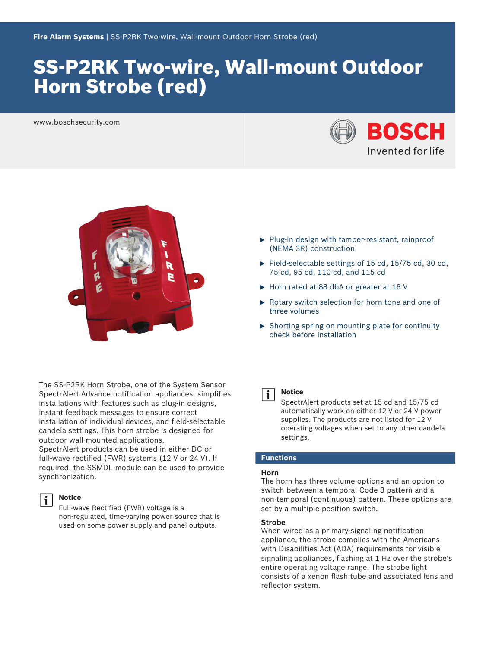# SS‑P2RK Two‑wire, Wall‑mount Outdoor Horn Strobe (red)

www.boschsecurity.com





- $\blacktriangleright$  Plug-in design with tamper-resistant, rainproof (NEMA 3R) construction
- Field-selectable settings of 15 cd,  $15/75$  cd, 30 cd, 75 cd, 95 cd, 110 cd, and 115 cd
- $\blacktriangleright$  Horn rated at 88 dbA or greater at 16 V
- $\triangleright$  Rotary switch selection for horn tone and one of three volumes
- $\triangleright$  Shorting spring on mounting plate for continuity check before installation

The SS‑P2RK Horn Strobe, one of the System Sensor SpectrAlert Advance notification appliances, simplifies installations with features such as plug-in designs, instant feedback messages to ensure correct installation of individual devices, and field‑selectable candela settings. This horn strobe is designed for outdoor wall-mounted applications.

SpectrAlert products can be used in either DC or full-wave rectified (FWR) systems  $(12 \text{ V or } 24 \text{ V})$ . If required, the SSMDL module can be used to provide synchronization.



#### **Notice**

Full‑wave Rectified (FWR) voltage is a non‑regulated, time‑varying power source that is used on some power supply and panel outputs.



### **Notice**

SpectrAlert products set at 15 cd and 15/75 cd automatically work on either 12 V or 24 V power supplies. The products are not listed for 12 V operating voltages when set to any other candela settings.

# **Functions**

#### **Horn**

The horn has three volume options and an option to switch between a temporal Code 3 pattern and a non-temporal (continuous) pattern. These options are set by a multiple position switch.

#### **Strobe**

When wired as a primary-signaling notification appliance, the strobe complies with the Americans with Disabilities Act (ADA) requirements for visible signaling appliances, flashing at 1 Hz over the strobe's entire operating voltage range. The strobe light consists of a xenon flash tube and associated lens and reflector system.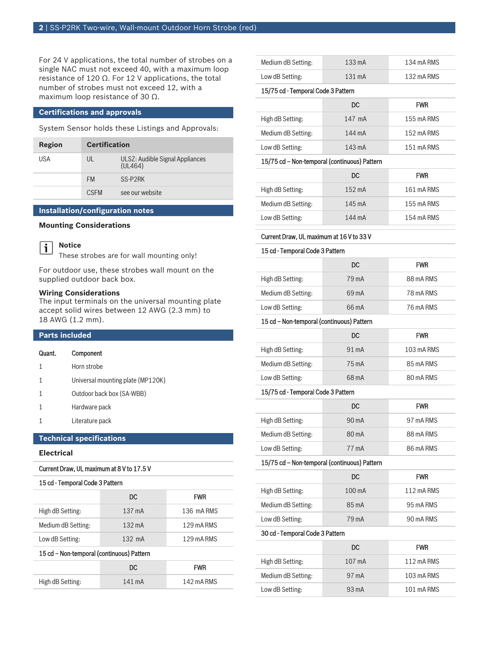For 24 V applications, the total number of strobes on a single NAC must not exceed 40, with a maximum loop resistance of 120  $Ω$ . For 12 V applications, the total number of strobes must not exceed 12, with a maximum loop resistance of 30 Ω.

#### **Certifications and approvals**

System Sensor holds these Listings and Approvals:

| Region | <b>Certification</b> |                                            |
|--------|----------------------|--------------------------------------------|
| USA    | UL                   | ULSZ: Audible Signal Appliances<br>(UL464) |
|        | <b>FM</b>            | SS-P2RK                                    |
|        | <b>CSEM</b>          | see our website                            |

### **Installation/configuration notes**

**Mounting Considerations**



These strobes are for wall mounting only!

For outdoor use, these strobes wall mount on the supplied outdoor back box.

#### **Wiring Considerations**

The input terminals on the universal mounting plate accept solid wires between 12 AWG (2.3 mm) to 18 AWG (1.2 mm).

# **Parts included**

| Quant.                          | Component                         |
|---------------------------------|-----------------------------------|
| 1                               | Horn strobe                       |
| 1                               | Universal mounting plate (MP120K) |
|                                 | Outdoor back box (SA-WBB)         |
| 1                               | Hardware pack                     |
| 1                               | Literature pack                   |
| <b>Technical specifications</b> |                                   |
| .                               |                                   |

# **Electrical**

# Current Draw, UL maximum at 8 V to 17.5 V

# 15 cd - Temporal Code 3 Pattern

|                                           | DC               | <b>FWR</b> |
|-------------------------------------------|------------------|------------|
| High dB Setting:                          | 137 mA           | 136 mA RMS |
| Medium dB Setting:                        | $132 \text{ mA}$ | 129 mA RMS |
| Low dB Setting:                           | $132 \text{ mA}$ | 129 mA RMS |
| 15 cd - Non-temporal (continuous) Pattern |                  |            |
|                                           | DC.              | <b>FWR</b> |
| High dB Setting:                          | 141 mA           | 142 mA RMS |

| Medium dB Setting: | $133 \text{ mA}$ | 134 mA RMS |
|--------------------|------------------|------------|
| Low dB Setting:    | $131 \text{ mA}$ | 132 mA RMS |

#### 15/75 cd - Temporal Code 3 Pattern

|                    | DC.    | <b>FWR</b> |
|--------------------|--------|------------|
| High dB Setting:   | 147 mA | 155 mA RMS |
| Medium dB Setting: | 144 mA | 152 mA RMS |
| Low dB Setting:    | 143 mA | 151 mA RMS |

### 15/75 cd - Non-temporal (continuous) Pattern

|                    | DC.              | <b>FWR</b> |
|--------------------|------------------|------------|
| High dB Setting:   | $152 \text{ mA}$ | 161 mA RMS |
| Medium dB Setting: | 145 mA           | 155 mA RMS |
| Low dB Setting:    | 144 mA           | 154 mA RMS |

#### Current Draw, UL maximum at 16 V to 33 V

#### 15 cd - Temporal Code 3 Pattern

|                    | DC.             | <b>FWR</b> |
|--------------------|-----------------|------------|
| High dB Setting:   | 79 mA           | 88 mA RMS  |
| Medium dB Setting: | $69 \text{ mA}$ | 78 mA RMS  |
| Low dB Setting:    | $66 \text{ mA}$ | 76 mA RMS  |

#### 15 cd – Non-temporal (continuous) Pattern

|                    | DC.             | <b>FWR</b> |
|--------------------|-----------------|------------|
| High dB Setting:   | $91 \text{ mA}$ | 103 mA RMS |
| Medium dB Setting: | 75 mA           | 85 mA RMS  |
| Low dB Setting:    | 68 m A          | 80 mA RMS  |

#### 15/75 cd - Temporal Code 3 Pattern

|                    | DC.             | <b>FWR</b> |
|--------------------|-----------------|------------|
| High dB Setting:   | $90 \text{ mA}$ | 97 mA RMS  |
| Medium dB Setting: | $80 \text{ mA}$ | 88 mA RMS  |
| Low dB Setting:    | 77 mA           | 86 mA RMS  |

#### 15/75 cd - Non-temporal (continuous) Pattern

|                    | DC.              | <b>FWR</b> |
|--------------------|------------------|------------|
| High dB Setting:   | $100 \text{ mA}$ | 112 mA RMS |
| Medium dB Setting: | $85 \text{ mA}$  | 95 mA RMS  |
| Low dB Setting:    | 79 mA            | 90 mA RMS  |

#### 30 cd - Temporal Code 3 Pattern

|                    | DC.             | <b>FWR</b> |
|--------------------|-----------------|------------|
| High dB Setting:   | 107 mA          | 112 mA RMS |
| Medium dB Setting: | $97 \text{ mA}$ | 103 mA RMS |
| Low dB Setting:    | $93 \text{ mA}$ | 101 mA RMS |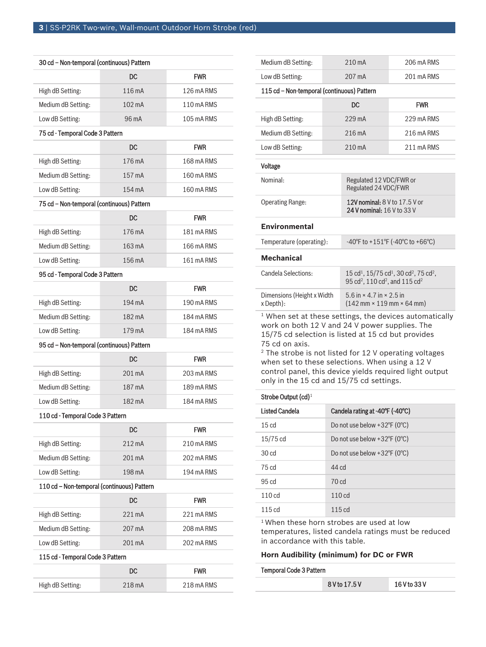| 30 cd - Non-temporal (continuous) Pattern  |                  |            |  |
|--------------------------------------------|------------------|------------|--|
|                                            | DC               | <b>FWR</b> |  |
| High dB Setting:                           | 116 mA           | 126 mA RMS |  |
| Medium dB Setting:                         | $102 \text{ mA}$ | 110 mA RMS |  |
| Low dB Setting:                            | 96 mA            | 105 mA RMS |  |
| 75 cd - Temporal Code 3 Pattern            |                  |            |  |
|                                            | DC               | <b>FWR</b> |  |
| High dB Setting:                           | 176 mA           | 168 mA RMS |  |
| Medium dB Setting:                         | 157 mA           | 160 mA RMS |  |
| Low dB Setting:                            | 154 mA           | 160 mA RMS |  |
| 75 cd - Non-temporal (continuous) Pattern  |                  |            |  |
|                                            | <b>DC</b>        | <b>FWR</b> |  |
| High dB Setting:                           | 176 mA           | 181 mA RMS |  |
| Medium dB Setting:                         | 163 mA           | 166 mA RMS |  |
| Low dB Setting:                            | 156 mA           | 161 mA RMS |  |
| 95 cd - Temporal Code 3 Pattern            |                  |            |  |
|                                            | DC.              | <b>FWR</b> |  |
| High dB Setting:                           | 194 mA           | 190 mA RMS |  |
| Medium dB Setting:                         | 182 mA           | 184 mA RMS |  |
| Low dB Setting:                            | 179 mA           | 184 mA RMS |  |
| 95 cd - Non-temporal (continuous) Pattern  |                  |            |  |
|                                            | <b>DC</b>        | <b>FWR</b> |  |
| High dB Setting:                           | 201 mA           | 203 mA RMS |  |
| Medium dB Setting:                         | 187 mA           | 189 mA RMS |  |
| Low dB Setting:                            | 182 mA           | 184 mA RMS |  |
| 110 cd - Temporal Code 3 Pattern           |                  |            |  |
|                                            | DC               | <b>FWR</b> |  |
| High dB Setting:                           | $212 \text{ mA}$ | 210 mA RMS |  |
| Medium dB Setting:                         | 201 mA           | 202 mA RMS |  |
| Low dB Setting:                            | 198 mA           | 194 mA RMS |  |
| 110 cd - Non-temporal (continuous) Pattern |                  |            |  |
|                                            | DC               | <b>FWR</b> |  |
| High dB Setting:                           | 221 mA           | 221 mA RMS |  |
| Medium dB Setting:                         | 207 mA           | 208 mA RMS |  |
| Low dB Setting:                            | 201 mA           | 202 mA RMS |  |
| 115 cd - Temporal Code 3 Pattern           |                  |            |  |
|                                            | DC               | <b>FWR</b> |  |
| High dB Setting:                           | 218 mA           | 218 mA RMS |  |

| Medium dB Setting:                         | $210 \text{ mA}$ | 206 mA RMS                                                                                                                                               |  |  |  |
|--------------------------------------------|------------------|----------------------------------------------------------------------------------------------------------------------------------------------------------|--|--|--|
| Low dB Setting:                            | 207 mA           | 201 mA RMS                                                                                                                                               |  |  |  |
| 115 cd – Non-temporal (continuous) Pattern |                  |                                                                                                                                                          |  |  |  |
|                                            | <b>DC</b>        | <b>FWR</b>                                                                                                                                               |  |  |  |
| High dB Setting:                           | $229 \text{ mA}$ | 229 mA RMS                                                                                                                                               |  |  |  |
| Medium dB Setting:                         | 216 mA           | 216 mA RMS                                                                                                                                               |  |  |  |
| Low dB Setting:                            | 210 mA           | 211 mA RMS                                                                                                                                               |  |  |  |
| Voltage                                    |                  |                                                                                                                                                          |  |  |  |
| Nominal:                                   |                  | Regulated 12 VDC/FWR or<br>Regulated 24 VDC/FWR                                                                                                          |  |  |  |
| <b>Operating Range:</b>                    |                  | 12V nominal: 8 V to 17.5 V or<br>24 V nominal: 16 V to 33 V                                                                                              |  |  |  |
| <b>Environmental</b>                       |                  |                                                                                                                                                          |  |  |  |
| Temperature (operating):                   |                  | $-40^{\circ}$ F to $+151^{\circ}$ F ( $-40^{\circ}$ C to $+66^{\circ}$ C)                                                                                |  |  |  |
| <b>Mechanical</b>                          |                  |                                                                                                                                                          |  |  |  |
| Candela Selections:                        |                  | $15 \text{ cd}^1$ , $15/75 \text{ cd}^1$ , $30 \text{ cd}^2$ , $75 \text{ cd}^2$ ,<br>95 cd <sup>2</sup> , 110 cd <sup>2</sup> , and 115 cd <sup>2</sup> |  |  |  |
| Dimensions (Height x Width                 |                  | 5.6 in $\times$ 4.7 in $\times$ 2.5 in                                                                                                                   |  |  |  |

<sup>1</sup> When set at these settings, the devices automatically work on both 12 V and 24 V power supplies. The 15/75 cd selection is listed at 15 cd but provides 75 cd on axis.

(142 mm × 119 mm × 64 mm)

<sup>2</sup> The strobe is not listed for 12 V operating voltages when set to these selections. When using a 12 V control panel, this device yields required light output only in the 15 cd and 15/75 cd settings.

### Strobe Output (cd)<sup>1</sup>

x Depth):

| <b>Listed Candela</b> | Candela rating at -40°F (-40°C)             |
|-----------------------|---------------------------------------------|
| 15 <sub>cd</sub>      | Do not use below $+32^{\circ}F(0^{\circ}C)$ |
| 15/75 cd              | Do not use below $+32^{\circ}F(0^{\circ}C)$ |
| 30 <sub>cd</sub>      | Do not use below $+32^{\circ}F(0^{\circ}C)$ |
| 75 <sub>cd</sub>      | 44 <sub>cd</sub>                            |
| 95 <sub>cd</sub>      | 70 <sub>cd</sub>                            |
| 110cd                 | $110 \text{ cd}$                            |
| 115cd                 | 115 cd                                      |
|                       |                                             |

<sup>1</sup> When these horn strobes are used at low temperatures, listed candela ratings must be reduced in accordance with this table.

# **Horn Audibility (minimum) for DC or FWR**

#### Temporal Code 3 Pattern

|  |  | 8 V to 17.5 V | 16 V to 33 V |
|--|--|---------------|--------------|
|--|--|---------------|--------------|